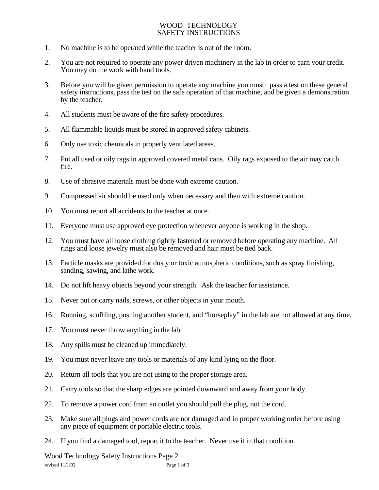## WOOD TECHNOLOGY SAFETY INSTRUCTIONS

- 1. No machine is to be operated while the teacher is out of the room.
- 2. You are not required to operate any power driven machinery in the lab in order to earn your credit. You may do the work with hand tools.
- 3. Before you will be given permission to operate any machine you must: pass a test on these general safety instructions, pass the test on the safe operation of that machine, and be given a demonstration by the teacher.
- 4. All students must be aware of the fire safety procedures.
- 5. All flammable liquids must be stored in approved safety cabinets.
- 6. Only use toxic chemicals in properly ventilated areas.
- 7. Put all used or oily rags in approved covered metal cans. Oily rags exposed to the air may catch fire.
- 8. Use of abrasive materials must be done with extreme caution.
- 9. Compressed air should be used only when necessary and then with extreme caution.
- 10. You must report all accidents to the teacher at once.
- 11. Everyone must use approved eye protection whenever anyone is working in the shop.
- 12. You must have all loose clothing tightly fastened or removed before operating any machine. All rings and loose jewelry must also be removed and hair must be tied back.
- 13. Particle masks are provided for dusty or toxic atmospheric conditions, such as spray finishing, sanding, sawing, and lathe work.
- 14. Do not lift heavy objects beyond your strength. Ask the teacher for assistance.
- 15. Never put or carry nails, screws, or other objects in your mouth.
- 16. Running, scuffling, pushing another student, and "horseplay" in the lab are not allowed at any time.
- 17. You must never throw anything in the lab.
- 18. Any spills must be cleaned up immediately.
- 19. You must never leave any tools or materials of any kind lying on the floor.
- 20. Return all tools that you are not using to the proper storage area.
- 21. Carry tools so that the sharp edges are pointed downward and away from your body.
- 22. To remove a power cord from an outlet you should pull the plug, not the cord.
- 23. Make sure all plugs and power cords are not damaged and in proper working order before using any piece of equipment or portable electric tools.
- 24. If you find a damaged tool, report it to the teacher. Never use it in that condition.

revised  $11/1/02$  Page 1 of 3 Wood Technology Safety Instructions Page 2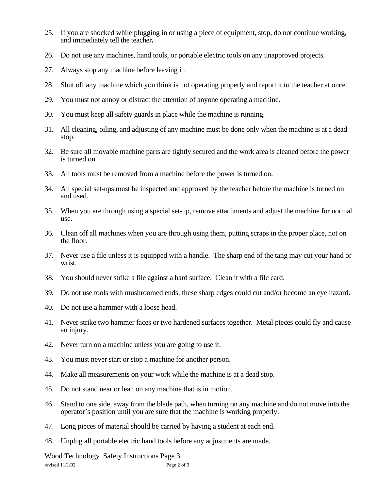- 25. If you are shocked while plugging in or using a piece of equipment, stop, do not continue working, and immediately tell the teacher**.**
- 26. Do not use any machines, hand tools, or portable electric tools on any unapproved projects.
- 27. Always stop any machine before leaving it.
- 28. Shut off any machine which you think is not operating properly and report it to the teacher at once.
- 29. You must not annoy or distract the attention of anyone operating a machine.
- 30. You must keep all safety guards in place while the machine is running.
- 31. All cleaning, oiling, and adjusting of any machine must be done only when the machine is at a dead stop.
- 32. Be sure all movable machine parts are tightly secured and the work area is cleaned before the power is turned on.
- 33. All tools must be removed from a machine before the power is turned on.
- 34. All special set-ups must be inspected and approved by the teacher before the machine is turned on and used.
- 35. When you are through using a special set-up, remove attachments and adjust the machine for normal use.
- 36. Clean off all machines when you are through using them, putting scraps in the proper place, not on the floor.
- 37. Never use a file unless it is equipped with a handle. The sharp end of the tang may cut your hand or wrist.
- 38. You should never strike a file against a hard surface. Clean it with a file card.
- 39. Do not use tools with mushroomed ends; these sharp edges could cut and/or become an eye hazard.
- 40. Do not use a hammer with a loose head.
- 41. Never strike two hammer faces or two hardened surfaces together. Metal pieces could fly and cause an injury.
- 42. Never turn on a machine unless you are going to use it.
- 43. You must never start or stop a machine for another person.
- 44. Make all measurements on your work while the machine is at a dead stop.
- 45. Do not stand near or lean on any machine that is in motion.
- 46. Stand to one side, away from the blade path, when turning on any machine and do not move into the operator's position until you are sure that the machine is working properly.
- 47. Long pieces of material should be carried by having a student at each end.
- 48. Unplug all portable electric hand tools before any adjustments are made.

revised  $11/1/02$  Page 2 of 3 Wood Technology Safety Instructions Page 3